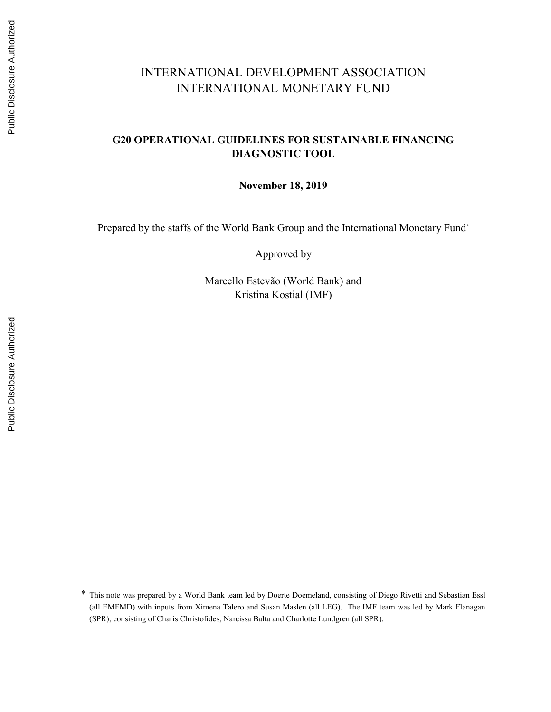# INTERNATIONAL DEVELOPMENT ASSOCIATION INTERNATIONAL MONETARY FUND

#### G20 OPERATIONAL GUIDELINES FOR SUSTAINABLE FINANCING DIAGNOSTIC TOOL

November 18, 2019

Prepared by the staffs of the World Bank Group and the International Monetary Fund\*

Approved by

Marcello Estevão (World Bank) and Kristina Kostial (IMF)

<sup>\*</sup> This note was prepared by a World Bank team led by Doerte Doemeland, consisting of Diego Rivetti and Sebastian Essl (all EMFMD) with inputs from Ximena Talero and Susan Maslen (all LEG). The IMF team was led by Mark Flanagan (SPR), consisting of Charis Christofides, Narcissa Balta and Charlotte Lundgren (all SPR).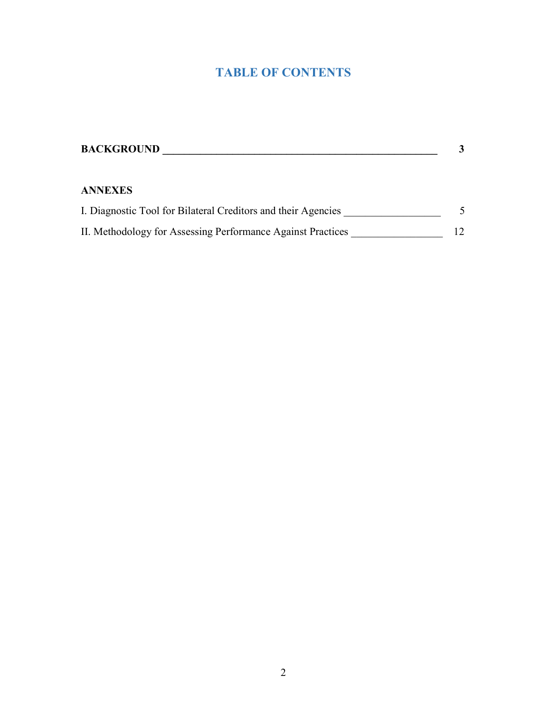# TABLE OF CONTENTS

| <b>BACKGROUND</b>                                             |  |
|---------------------------------------------------------------|--|
| <b>ANNEXES</b>                                                |  |
| I. Diagnostic Tool for Bilateral Creditors and their Agencies |  |
| II. Methodology for Assessing Performance Against Practices   |  |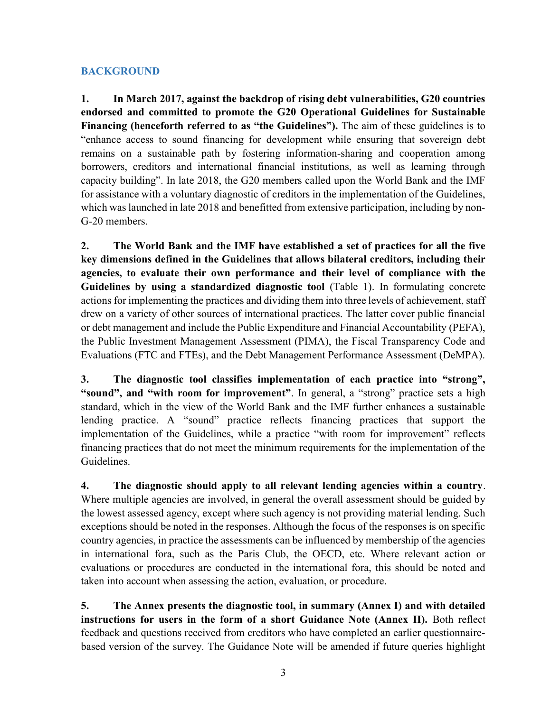#### **BACKGROUND**

1. In March 2017, against the backdrop of rising debt vulnerabilities, G20 countries endorsed and committed to promote the G20 Operational Guidelines for Sustainable Financing (henceforth referred to as "the Guidelines"). The aim of these guidelines is to "enhance access to sound financing for development while ensuring that sovereign debt remains on a sustainable path by fostering information-sharing and cooperation among borrowers, creditors and international financial institutions, as well as learning through capacity building". In late 2018, the G20 members called upon the World Bank and the IMF for assistance with a voluntary diagnostic of creditors in the implementation of the Guidelines, which was launched in late 2018 and benefitted from extensive participation, including by non-G-20 members.

2. The World Bank and the IMF have established a set of practices for all the five key dimensions defined in the Guidelines that allows bilateral creditors, including their agencies, to evaluate their own performance and their level of compliance with the Guidelines by using a standardized diagnostic tool (Table 1). In formulating concrete actions for implementing the practices and dividing them into three levels of achievement, staff drew on a variety of other sources of international practices. The latter cover public financial or debt management and include the Public Expenditure and Financial Accountability (PEFA), the Public Investment Management Assessment (PIMA), the Fiscal Transparency Code and Evaluations (FTC and FTEs), and the Debt Management Performance Assessment (DeMPA).

3. The diagnostic tool classifies implementation of each practice into "strong", "sound", and "with room for improvement". In general, a "strong" practice sets a high standard, which in the view of the World Bank and the IMF further enhances a sustainable lending practice. A "sound" practice reflects financing practices that support the implementation of the Guidelines, while a practice "with room for improvement" reflects financing practices that do not meet the minimum requirements for the implementation of the Guidelines.

4. The diagnostic should apply to all relevant lending agencies within a country. Where multiple agencies are involved, in general the overall assessment should be guided by the lowest assessed agency, except where such agency is not providing material lending. Such exceptions should be noted in the responses. Although the focus of the responses is on specific country agencies, in practice the assessments can be influenced by membership of the agencies in international fora, such as the Paris Club, the OECD, etc. Where relevant action or evaluations or procedures are conducted in the international fora, this should be noted and taken into account when assessing the action, evaluation, or procedure.

5. The Annex presents the diagnostic tool, in summary (Annex I) and with detailed instructions for users in the form of a short Guidance Note (Annex II). Both reflect feedback and questions received from creditors who have completed an earlier questionnairebased version of the survey. The Guidance Note will be amended if future queries highlight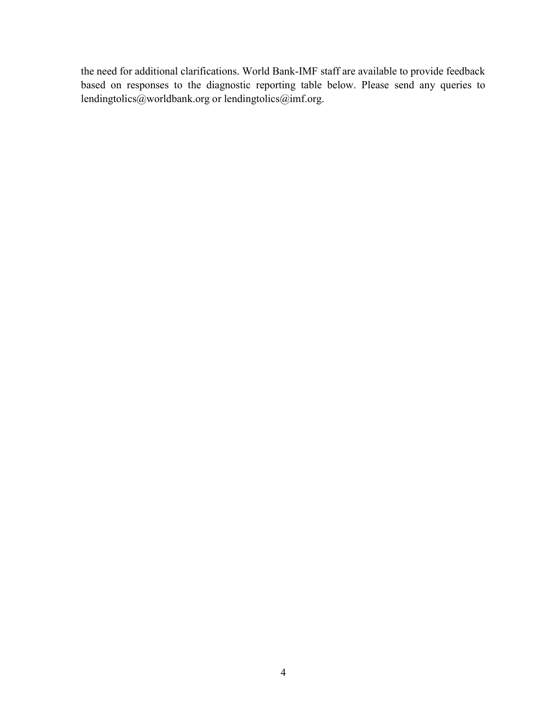the need for additional clarifications. World Bank-IMF staff are available to provide feedback based on responses to the diagnostic reporting table below. Please send any queries to lendingtolics@worldbank.org or lendingtolics@imf.org.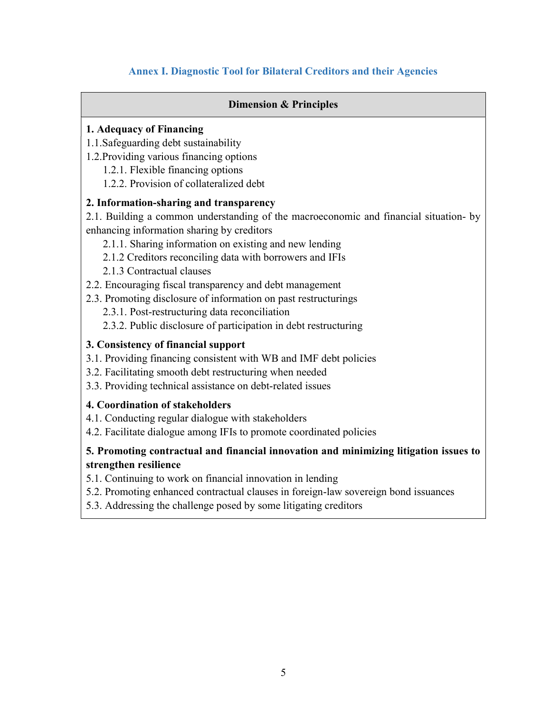# Annex I. Diagnostic Tool for Bilateral Creditors and their Agencies

#### Dimension & Principles

#### 1. Adequacy of Financing

- 1.1.Safeguarding debt sustainability
- 1.2.Providing various financing options
	- 1.2.1. Flexible financing options
	- 1.2.2. Provision of collateralized debt

#### 2. Information-sharing and transparency

2.1. Building a common understanding of the macroeconomic and financial situation- by enhancing information sharing by creditors

- 2.1.1. Sharing information on existing and new lending
- 2.1.2 Creditors reconciling data with borrowers and IFIs
- 2.1.3 Contractual clauses
- 2.2. Encouraging fiscal transparency and debt management
- 2.3. Promoting disclosure of information on past restructurings
	- 2.3.1. Post-restructuring data reconciliation
	- 2.3.2. Public disclosure of participation in debt restructuring

#### 3. Consistency of financial support

- 3.1. Providing financing consistent with WB and IMF debt policies
- 3.2. Facilitating smooth debt restructuring when needed
- 3.3. Providing technical assistance on debt-related issues

#### 4. Coordination of stakeholders

- 4.1. Conducting regular dialogue with stakeholders
- 4.2. Facilitate dialogue among IFIs to promote coordinated policies

# 5. Promoting contractual and financial innovation and minimizing litigation issues to strengthen resilience

- 5.1. Continuing to work on financial innovation in lending
- 5.2. Promoting enhanced contractual clauses in foreign-law sovereign bond issuances
- 5.3. Addressing the challenge posed by some litigating creditors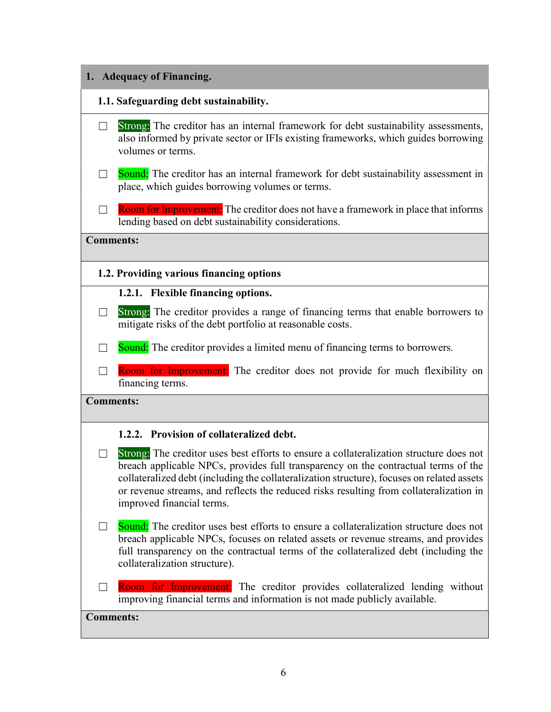# 1. Adequacy of Financing. 1.1. Safeguarding debt sustainability. □ Strong: The creditor has an internal framework for debt sustainability assessments, also informed by private sector or IFIs existing frameworks, which guides borrowing volumes or terms. □ Sound: The creditor has an internal framework for debt sustainability assessment in place, which guides borrowing volumes or terms.  $\Box$  Room for Improvement: The creditor does not have a framework in place that informs lending based on debt sustainability considerations. Comments: 1.2. Providing various financing options 1.2.1. Flexible financing options. □ Strong: The creditor provides a range of financing terms that enable borrowers to mitigate risks of the debt portfolio at reasonable costs.  $\Box$  Sound: The creditor provides a limited menu of financing terms to borrowers. □ Room for Improvement: The creditor does not provide for much flexibility on financing terms. Comments: 1.2.2. Provision of collateralized debt.  $\Box$  Strong: The creditor uses best efforts to ensure a collateralization structure does not breach applicable NPCs, provides full transparency on the contractual terms of the collateralized debt (including the collateralization structure), focuses on related assets or revenue streams, and reflects the reduced risks resulting from collateralization in improved financial terms.  $\Box$  Sound: The creditor uses best efforts to ensure a collateralization structure does not breach applicable NPCs, focuses on related assets or revenue streams, and provides full transparency on the contractual terms of the collateralized debt (including the collateralization structure).  $\Box$  Room for Improvement: The creditor provides collateralized lending without improving financial terms and information is not made publicly available. Comments: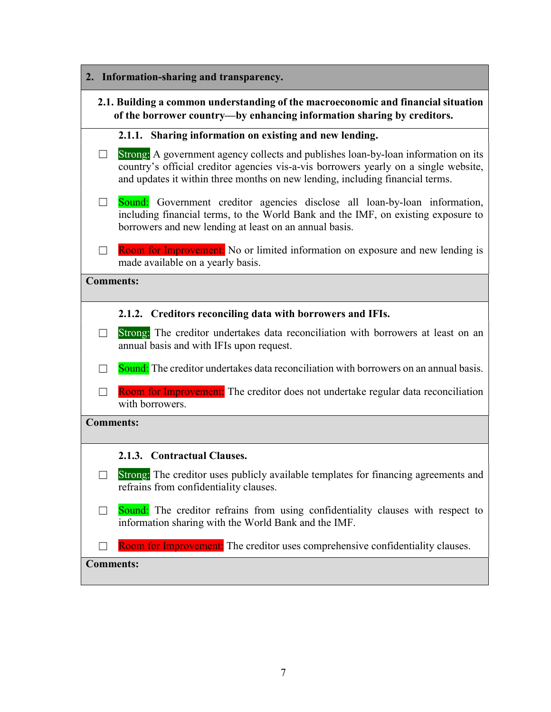| 2. Information-sharing and transparency.                                                                                                                    |                                                                                                                                                                                                                                                             |  |
|-------------------------------------------------------------------------------------------------------------------------------------------------------------|-------------------------------------------------------------------------------------------------------------------------------------------------------------------------------------------------------------------------------------------------------------|--|
| 2.1. Building a common understanding of the macroeconomic and financial situation<br>of the borrower country—by enhancing information sharing by creditors. |                                                                                                                                                                                                                                                             |  |
|                                                                                                                                                             | 2.1.1. Sharing information on existing and new lending.                                                                                                                                                                                                     |  |
| $\overline{\phantom{a}}$                                                                                                                                    | Strong: A government agency collects and publishes loan-by-loan information on its<br>country's official creditor agencies vis-a-vis borrowers yearly on a single website,<br>and updates it within three months on new lending, including financial terms. |  |
|                                                                                                                                                             | Sound: Government creditor agencies disclose all loan-by-loan information,<br>including financial terms, to the World Bank and the IMF, on existing exposure to<br>borrowers and new lending at least on an annual basis.                                   |  |
|                                                                                                                                                             | Room for Improvement: No or limited information on exposure and new lending is<br>made available on a yearly basis.                                                                                                                                         |  |
| <b>Comments:</b>                                                                                                                                            |                                                                                                                                                                                                                                                             |  |
|                                                                                                                                                             | 2.1.2. Creditors reconciling data with borrowers and IFIs.                                                                                                                                                                                                  |  |
| ┓                                                                                                                                                           | Strong: The creditor undertakes data reconciliation with borrowers at least on an<br>annual basis and with IFIs upon request.                                                                                                                               |  |
|                                                                                                                                                             | Sound: The creditor undertakes data reconciliation with borrowers on an annual basis.                                                                                                                                                                       |  |
| $\Box$                                                                                                                                                      | Room for Improvement: The creditor does not undertake regular data reconciliation<br>with borrowers.                                                                                                                                                        |  |
| <b>Comments:</b>                                                                                                                                            |                                                                                                                                                                                                                                                             |  |
|                                                                                                                                                             | 2.1.3. Contractual Clauses.                                                                                                                                                                                                                                 |  |
|                                                                                                                                                             | Strong: The creditor uses publicly available templates for financing agreements and<br>refrains from confidentiality clauses.                                                                                                                               |  |
|                                                                                                                                                             | Sound: The creditor refrains from using confidentiality clauses with respect to<br>information sharing with the World Bank and the IMF.                                                                                                                     |  |
|                                                                                                                                                             | Room for Improvement: The creditor uses comprehensive confidentiality clauses.                                                                                                                                                                              |  |
| <b>Comments:</b>                                                                                                                                            |                                                                                                                                                                                                                                                             |  |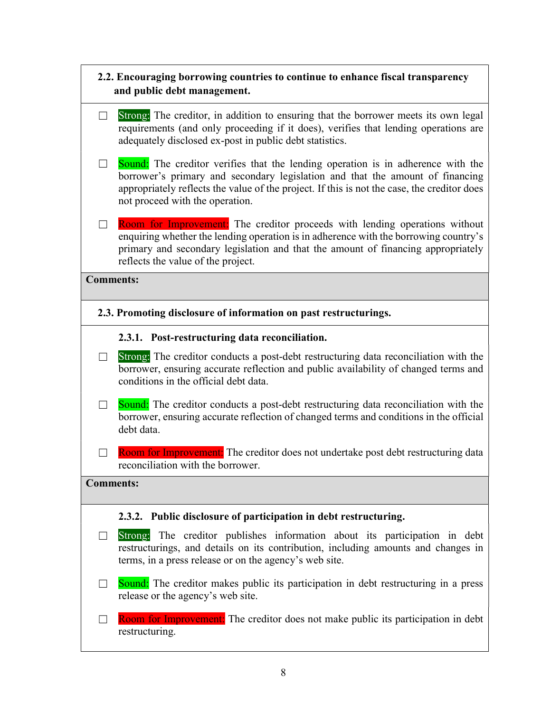# 2.2. Encouraging borrowing countries to continue to enhance fiscal transparency and public debt management.

- $\Box$  Strong: The creditor, in addition to ensuring that the borrower meets its own legal requirements (and only proceeding if it does), verifies that lending operations are adequately disclosed ex-post in public debt statistics.
- $\Box$  Sound: The creditor verifies that the lending operation is in adherence with the borrower's primary and secondary legislation and that the amount of financing appropriately reflects the value of the project. If this is not the case, the creditor does not proceed with the operation.
- $\Box$  Room for Improvement: The creditor proceeds with lending operations without enquiring whether the lending operation is in adherence with the borrowing country's primary and secondary legislation and that the amount of financing appropriately reflects the value of the project.

#### Comments:

2.3. Promoting disclosure of information on past restructurings.

#### 2.3.1. Post-restructuring data reconciliation.

- $\Box$  Strong: The creditor conducts a post-debt restructuring data reconciliation with the borrower, ensuring accurate reflection and public availability of changed terms and conditions in the official debt data.
- $\Box$  Sound: The creditor conducts a post-debt restructuring data reconciliation with the borrower, ensuring accurate reflection of changed terms and conditions in the official debt data.
- $\Box$  Room for Improvement: The creditor does not undertake post debt restructuring data reconciliation with the borrower.

#### Comments:

#### 2.3.2. Public disclosure of participation in debt restructuring.

- $\Box$  Strong: The creditor publishes information about its participation in debt restructurings, and details on its contribution, including amounts and changes in terms, in a press release or on the agency's web site.
- $\Box$  Sound: The creditor makes public its participation in debt restructuring in a press release or the agency's web site.
- □ Room for Improvement: The creditor does not make public its participation in debt restructuring.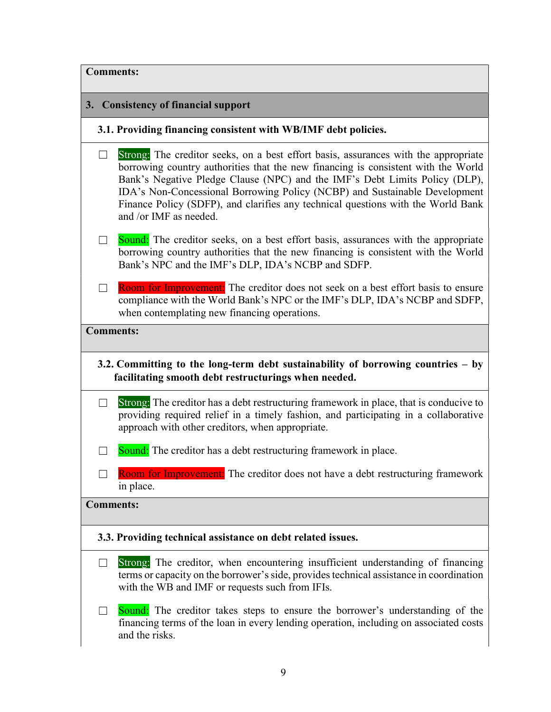| <b>Comments:</b>                                                                                                                           |                                                                                                                                                                                                                                                                                                                                                                                                                                                     |  |
|--------------------------------------------------------------------------------------------------------------------------------------------|-----------------------------------------------------------------------------------------------------------------------------------------------------------------------------------------------------------------------------------------------------------------------------------------------------------------------------------------------------------------------------------------------------------------------------------------------------|--|
|                                                                                                                                            | 3. Consistency of financial support                                                                                                                                                                                                                                                                                                                                                                                                                 |  |
|                                                                                                                                            | 3.1. Providing financing consistent with WB/IMF debt policies.                                                                                                                                                                                                                                                                                                                                                                                      |  |
| $\Box$                                                                                                                                     | Strong: The creditor seeks, on a best effort basis, assurances with the appropriate<br>borrowing country authorities that the new financing is consistent with the World<br>Bank's Negative Pledge Clause (NPC) and the IMF's Debt Limits Policy (DLP),<br>IDA's Non-Concessional Borrowing Policy (NCBP) and Sustainable Development<br>Finance Policy (SDFP), and clarifies any technical questions with the World Bank<br>and /or IMF as needed. |  |
| $\overline{\phantom{a}}$                                                                                                                   | <b>Sound:</b> The creditor seeks, on a best effort basis, assurances with the appropriate<br>borrowing country authorities that the new financing is consistent with the World<br>Bank's NPC and the IMF's DLP, IDA's NCBP and SDFP.                                                                                                                                                                                                                |  |
| $\Box$                                                                                                                                     | Room for Improvement: The creditor does not seek on a best effort basis to ensure<br>compliance with the World Bank's NPC or the IMF's DLP, IDA's NCBP and SDFP,<br>when contemplating new financing operations.                                                                                                                                                                                                                                    |  |
|                                                                                                                                            | <b>Comments:</b>                                                                                                                                                                                                                                                                                                                                                                                                                                    |  |
| 3.2. Committing to the long-term debt sustainability of borrowing countries $-$ by<br>facilitating smooth debt restructurings when needed. |                                                                                                                                                                                                                                                                                                                                                                                                                                                     |  |
| $\Box$                                                                                                                                     | Strong: The creditor has a debt restructuring framework in place, that is conducive to<br>providing required relief in a timely fashion, and participating in a collaborative<br>approach with other creditors, when appropriate.                                                                                                                                                                                                                   |  |
|                                                                                                                                            | <b>Sound:</b> The creditor has a debt restructuring framework in place.                                                                                                                                                                                                                                                                                                                                                                             |  |
|                                                                                                                                            | Room for Improvement. The creditor does not have a debt restructuring framework<br>in place.                                                                                                                                                                                                                                                                                                                                                        |  |
| <b>Comments:</b>                                                                                                                           |                                                                                                                                                                                                                                                                                                                                                                                                                                                     |  |
| 3.3. Providing technical assistance on debt related issues.                                                                                |                                                                                                                                                                                                                                                                                                                                                                                                                                                     |  |
| $\Box$                                                                                                                                     | Strong: The creditor, when encountering insufficient understanding of financing<br>terms or capacity on the borrower's side, provides technical assistance in coordination<br>with the WB and IMF or requests such from IFIs.                                                                                                                                                                                                                       |  |
|                                                                                                                                            | <b>Sound:</b> The creditor takes steps to ensure the borrower's understanding of the<br>financing terms of the loan in every lending operation, including on associated costs<br>and the risks.                                                                                                                                                                                                                                                     |  |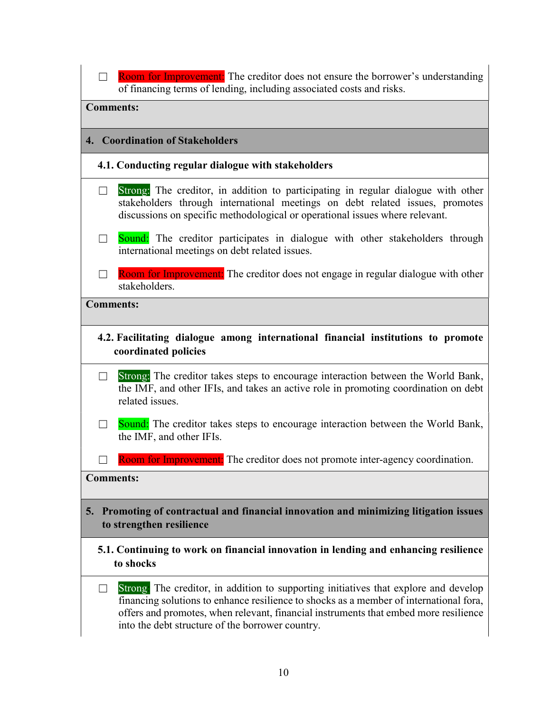| $\Box$                                                                                                               | <b>Room for Improvement:</b> The creditor does not ensure the borrower's understanding<br>of financing terms of lending, including associated costs and risks.                                                                                                                                                             |
|----------------------------------------------------------------------------------------------------------------------|----------------------------------------------------------------------------------------------------------------------------------------------------------------------------------------------------------------------------------------------------------------------------------------------------------------------------|
| <b>Comments:</b>                                                                                                     |                                                                                                                                                                                                                                                                                                                            |
|                                                                                                                      | 4. Coordination of Stakeholders                                                                                                                                                                                                                                                                                            |
|                                                                                                                      | 4.1. Conducting regular dialogue with stakeholders                                                                                                                                                                                                                                                                         |
| $\Box$                                                                                                               | Strong: The creditor, in addition to participating in regular dialogue with other<br>stakeholders through international meetings on debt related issues, promotes<br>discussions on specific methodological or operational issues where relevant.                                                                          |
| $\Box$                                                                                                               | Sound: The creditor participates in dialogue with other stakeholders through<br>international meetings on debt related issues.                                                                                                                                                                                             |
| $\Box$                                                                                                               | Room for Improvement: The creditor does not engage in regular dialogue with other<br>stakeholders.                                                                                                                                                                                                                         |
| <b>Comments:</b>                                                                                                     |                                                                                                                                                                                                                                                                                                                            |
|                                                                                                                      | 4.2. Facilitating dialogue among international financial institutions to promote<br>coordinated policies                                                                                                                                                                                                                   |
| $\Box$                                                                                                               | Strong: The creditor takes steps to encourage interaction between the World Bank,<br>the IMF, and other IFIs, and takes an active role in promoting coordination on debt<br>related issues.                                                                                                                                |
| $\Box$                                                                                                               | Sound: The creditor takes steps to encourage interaction between the World Bank,<br>the IMF, and other IFIs.                                                                                                                                                                                                               |
|                                                                                                                      | Room for Improvement: The creditor does not promote inter-agency coordination.                                                                                                                                                                                                                                             |
| <b>Comments:</b>                                                                                                     |                                                                                                                                                                                                                                                                                                                            |
| Promoting of contractual and financial innovation and minimizing litigation issues<br>5.<br>to strengthen resilience |                                                                                                                                                                                                                                                                                                                            |
| 5.1. Continuing to work on financial innovation in lending and enhancing resilience<br>to shocks                     |                                                                                                                                                                                                                                                                                                                            |
| $\Box$                                                                                                               | Strong. The creditor, in addition to supporting initiatives that explore and develop<br>financing solutions to enhance resilience to shocks as a member of international fora,<br>offers and promotes, when relevant, financial instruments that embed more resilience<br>into the debt structure of the borrower country. |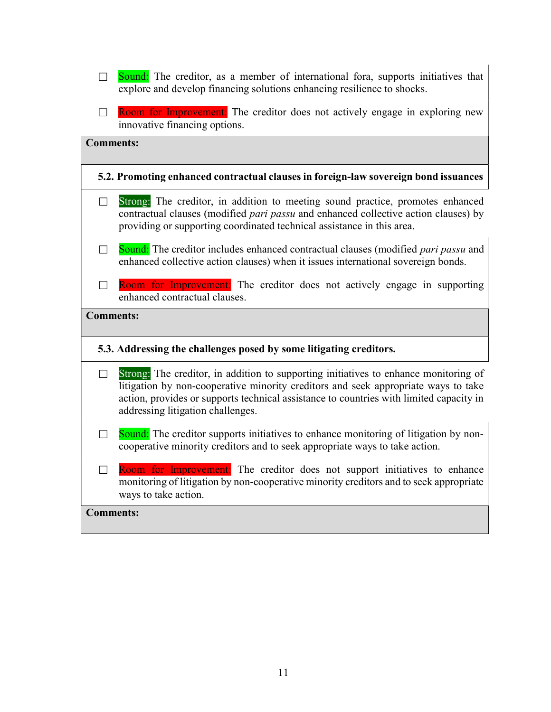| $\Box$           | Sound: The creditor, as a member of international fora, supports initiatives that<br>explore and develop financing solutions enhancing resilience to shocks.                                                                                                                                               |
|------------------|------------------------------------------------------------------------------------------------------------------------------------------------------------------------------------------------------------------------------------------------------------------------------------------------------------|
| $\Box$           | <b>Room for Improvement:</b> The creditor does not actively engage in exploring new<br>innovative financing options.                                                                                                                                                                                       |
| <b>Comments:</b> |                                                                                                                                                                                                                                                                                                            |
|                  | 5.2. Promoting enhanced contractual clauses in foreign-law sovereign bond issuances                                                                                                                                                                                                                        |
| $\Box$           | Strong: The creditor, in addition to meeting sound practice, promotes enhanced<br>contractual clauses (modified pari passu and enhanced collective action clauses) by<br>providing or supporting coordinated technical assistance in this area.                                                            |
| $\Box$           | <b>Sound:</b> The creditor includes enhanced contractual clauses (modified <i>pari passu</i> and<br>enhanced collective action clauses) when it issues international sovereign bonds.                                                                                                                      |
| П                | Room for Improvement: The creditor does not actively engage in supporting<br>enhanced contractual clauses.                                                                                                                                                                                                 |
| <b>Comments:</b> |                                                                                                                                                                                                                                                                                                            |
|                  | 5.3. Addressing the challenges posed by some litigating creditors.                                                                                                                                                                                                                                         |
| $\Box$           | Strong: The creditor, in addition to supporting initiatives to enhance monitoring of<br>litigation by non-cooperative minority creditors and seek appropriate ways to take<br>action, provides or supports technical assistance to countries with limited capacity in<br>addressing litigation challenges. |
| $\Box$           | Sound: The creditor supports initiatives to enhance monitoring of litigation by non-<br>cooperative minority creditors and to seek appropriate ways to take action.                                                                                                                                        |
| $\mathsf{L}$     | Room for Improvement: The creditor does not support initiatives to enhance<br>monitoring of litigation by non-cooperative minority creditors and to seek appropriate<br>ways to take action.                                                                                                               |
| <b>Comments:</b> |                                                                                                                                                                                                                                                                                                            |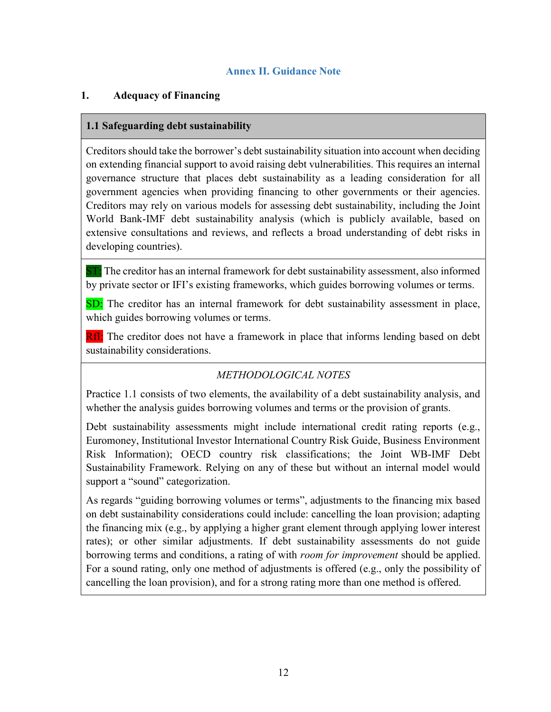#### Annex II. Guidance Note

#### 1. Adequacy of Financing

#### 1.1 Safeguarding debt sustainability

Creditors should take the borrower's debt sustainability situation into account when deciding on extending financial support to avoid raising debt vulnerabilities. This requires an internal governance structure that places debt sustainability as a leading consideration for all government agencies when providing financing to other governments or their agencies. Creditors may rely on various models for assessing debt sustainability, including the Joint World Bank-IMF debt sustainability analysis (which is publicly available, based on extensive consultations and reviews, and reflects a broad understanding of debt risks in developing countries).

**ST:** The creditor has an internal framework for debt sustainability assessment, also informed by private sector or IFI's existing frameworks, which guides borrowing volumes or terms.

SD: The creditor has an internal framework for debt sustainability assessment in place, which guides borrowing volumes or terms.

RfI: The creditor does not have a framework in place that informs lending based on debt sustainability considerations.

# METHODOLOGICAL NOTES

Practice 1.1 consists of two elements, the availability of a debt sustainability analysis, and whether the analysis guides borrowing volumes and terms or the provision of grants.

Debt sustainability assessments might include international credit rating reports (e.g., Euromoney, Institutional Investor International Country Risk Guide, Business Environment Risk Information); OECD country risk classifications; the Joint WB-IMF Debt Sustainability Framework. Relying on any of these but without an internal model would support a "sound" categorization.

As regards "guiding borrowing volumes or terms", adjustments to the financing mix based on debt sustainability considerations could include: cancelling the loan provision; adapting the financing mix (e.g., by applying a higher grant element through applying lower interest rates); or other similar adjustments. If debt sustainability assessments do not guide borrowing terms and conditions, a rating of with *room for improvement* should be applied. For a sound rating, only one method of adjustments is offered (e.g., only the possibility of cancelling the loan provision), and for a strong rating more than one method is offered.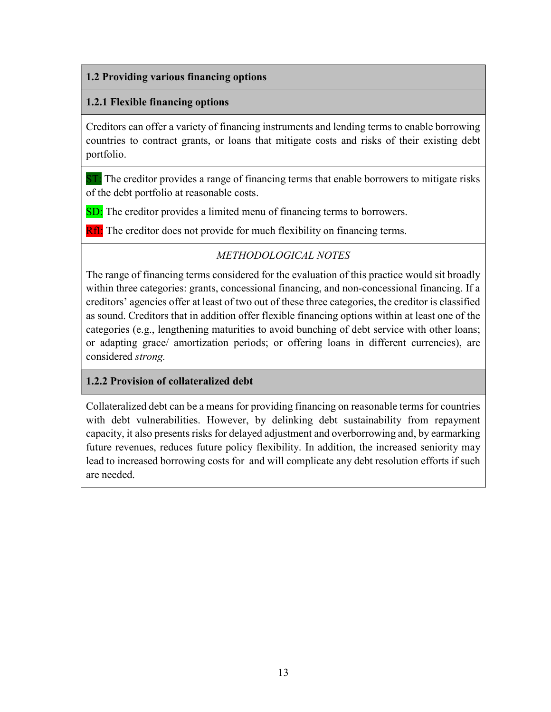#### 1.2 Providing various financing options

#### 1.2.1 Flexible financing options

Creditors can offer a variety of financing instruments and lending terms to enable borrowing countries to contract grants, or loans that mitigate costs and risks of their existing debt portfolio.

**ST:** The creditor provides a range of financing terms that enable borrowers to mitigate risks of the debt portfolio at reasonable costs.

SD: The creditor provides a limited menu of financing terms to borrowers.

**RfI:** The creditor does not provide for much flexibility on financing terms.

# METHODOLOGICAL NOTES

The range of financing terms considered for the evaluation of this practice would sit broadly within three categories: grants, concessional financing, and non-concessional financing. If a creditors' agencies offer at least of two out of these three categories, the creditor is classified as sound. Creditors that in addition offer flexible financing options within at least one of the categories (e.g., lengthening maturities to avoid bunching of debt service with other loans; or adapting grace/ amortization periods; or offering loans in different currencies), are considered strong.

# 1.2.2 Provision of collateralized debt

Collateralized debt can be a means for providing financing on reasonable terms for countries with debt vulnerabilities. However, by delinking debt sustainability from repayment capacity, it also presents risks for delayed adjustment and overborrowing and, by earmarking future revenues, reduces future policy flexibility. In addition, the increased seniority may lead to increased borrowing costs for and will complicate any debt resolution efforts if such are needed.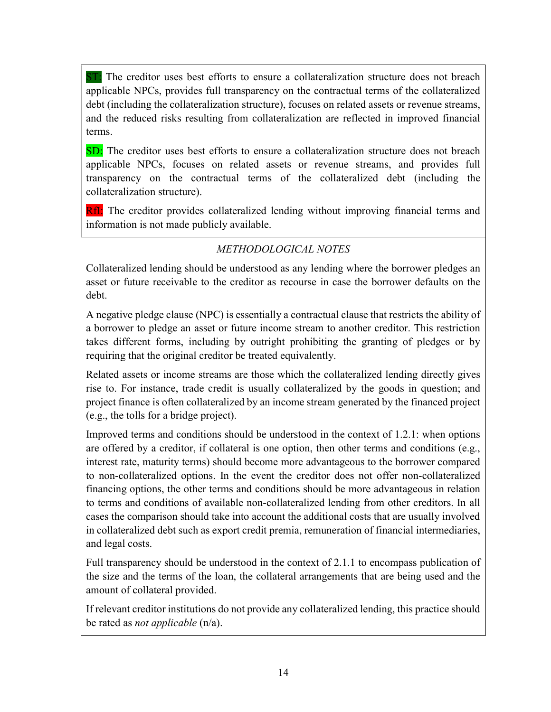ST: The creditor uses best efforts to ensure a collateralization structure does not breach applicable NPCs, provides full transparency on the contractual terms of the collateralized debt (including the collateralization structure), focuses on related assets or revenue streams, and the reduced risks resulting from collateralization are reflected in improved financial terms.

SD: The creditor uses best efforts to ensure a collateralization structure does not breach applicable NPCs, focuses on related assets or revenue streams, and provides full transparency on the contractual terms of the collateralized debt (including the collateralization structure).

**RfI:** The creditor provides collateralized lending without improving financial terms and information is not made publicly available.

# METHODOLOGICAL NOTES

Collateralized lending should be understood as any lending where the borrower pledges an asset or future receivable to the creditor as recourse in case the borrower defaults on the debt.

A negative pledge clause (NPC) is essentially a contractual clause that restricts the ability of a borrower to pledge an asset or future income stream to another creditor. This restriction takes different forms, including by outright prohibiting the granting of pledges or by requiring that the original creditor be treated equivalently.

Related assets or income streams are those which the collateralized lending directly gives rise to. For instance, trade credit is usually collateralized by the goods in question; and project finance is often collateralized by an income stream generated by the financed project (e.g., the tolls for a bridge project).

Improved terms and conditions should be understood in the context of 1.2.1: when options are offered by a creditor, if collateral is one option, then other terms and conditions (e.g., interest rate, maturity terms) should become more advantageous to the borrower compared to non-collateralized options. In the event the creditor does not offer non-collateralized financing options, the other terms and conditions should be more advantageous in relation to terms and conditions of available non-collateralized lending from other creditors. In all cases the comparison should take into account the additional costs that are usually involved in collateralized debt such as export credit premia, remuneration of financial intermediaries, and legal costs.

Full transparency should be understood in the context of 2.1.1 to encompass publication of the size and the terms of the loan, the collateral arrangements that are being used and the amount of collateral provided.

If relevant creditor institutions do not provide any collateralized lending, this practice should be rated as *not applicable* (n/a).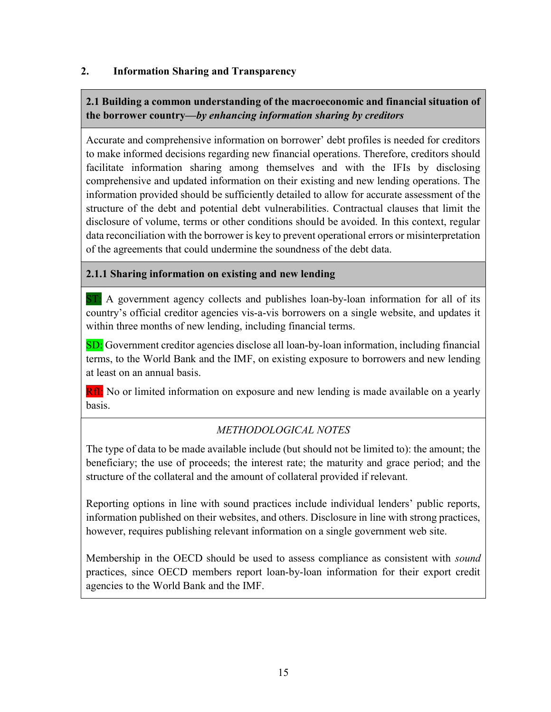#### 2. Information Sharing and Transparency

# 2.1 Building a common understanding of the macroeconomic and financial situation of the borrower country—by enhancing information sharing by creditors

Accurate and comprehensive information on borrower' debt profiles is needed for creditors to make informed decisions regarding new financial operations. Therefore, creditors should facilitate information sharing among themselves and with the IFIs by disclosing comprehensive and updated information on their existing and new lending operations. The information provided should be sufficiently detailed to allow for accurate assessment of the structure of the debt and potential debt vulnerabilities. Contractual clauses that limit the disclosure of volume, terms or other conditions should be avoided. In this context, regular data reconciliation with the borrower is key to prevent operational errors or misinterpretation of the agreements that could undermine the soundness of the debt data.

#### 2.1.1 Sharing information on existing and new lending

ST: A government agency collects and publishes loan-by-loan information for all of its country's official creditor agencies vis-a-vis borrowers on a single website, and updates it within three months of new lending, including financial terms.

SD: Government creditor agencies disclose all loan-by-loan information, including financial terms, to the World Bank and the IMF, on existing exposure to borrowers and new lending at least on an annual basis.

RfI: No or limited information on exposure and new lending is made available on a yearly basis.

# METHODOLOGICAL NOTES

The type of data to be made available include (but should not be limited to): the amount; the beneficiary; the use of proceeds; the interest rate; the maturity and grace period; and the structure of the collateral and the amount of collateral provided if relevant.

Reporting options in line with sound practices include individual lenders' public reports, information published on their websites, and others. Disclosure in line with strong practices, however, requires publishing relevant information on a single government web site.

Membership in the OECD should be used to assess compliance as consistent with sound practices, since OECD members report loan-by-loan information for their export credit agencies to the World Bank and the IMF.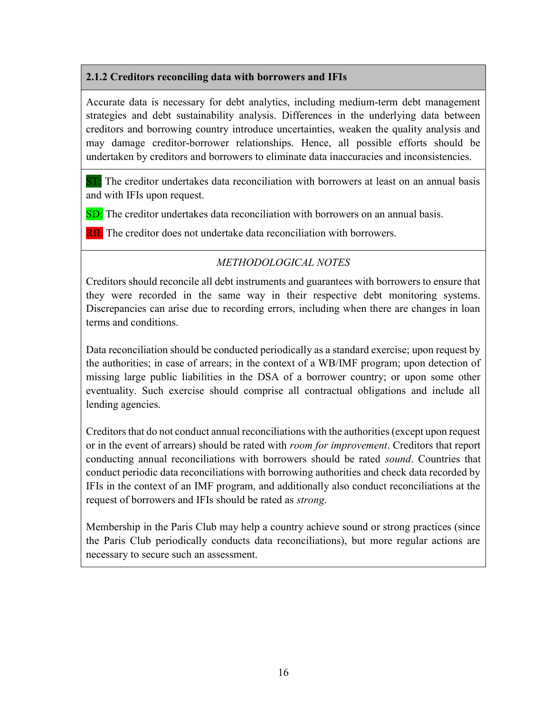#### 2.1.2 Creditors reconciling data with borrowers and IFIs

Accurate data is necessary for debt analytics, including medium-term debt management strategies and debt sustainability analysis. Differences in the underlying data between creditors and borrowing country introduce uncertainties, weaken the quality analysis and may damage creditor-borrower relationships. Hence, all possible efforts should be undertaken by creditors and borrowers to eliminate data inaccuracies and inconsistencies.

 $ST:$  The creditor undertakes data reconciliation with borrowers at least on an annual basis and with IFIs upon request.

SD: The creditor undertakes data reconciliation with borrowers on an annual basis.

**RfI:** The creditor does not undertake data reconciliation with borrowers.

# METHODOLOGICAL NOTES

Creditors should reconcile all debt instruments and guarantees with borrowers to ensure that they were recorded in the same way in their respective debt monitoring systems. Discrepancies can arise due to recording errors, including when there are changes in loan terms and conditions.

Data reconciliation should be conducted periodically as a standard exercise; upon request by the authorities; in case of arrears; in the context of a WB/IMF program; upon detection of missing large public liabilities in the DSA of a borrower country; or upon some other eventuality. Such exercise should comprise all contractual obligations and include all lending agencies.

Creditors that do not conduct annual reconciliations with the authorities (except upon request or in the event of arrears) should be rated with *room for improvement*. Creditors that report conducting annual reconciliations with borrowers should be rated sound. Countries that conduct periodic data reconciliations with borrowing authorities and check data recorded by IFIs in the context of an IMF program, and additionally also conduct reconciliations at the request of borrowers and IFIs should be rated as strong.

Membership in the Paris Club may help a country achieve sound or strong practices (since the Paris Club periodically conducts data reconciliations), but more regular actions are necessary to secure such an assessment.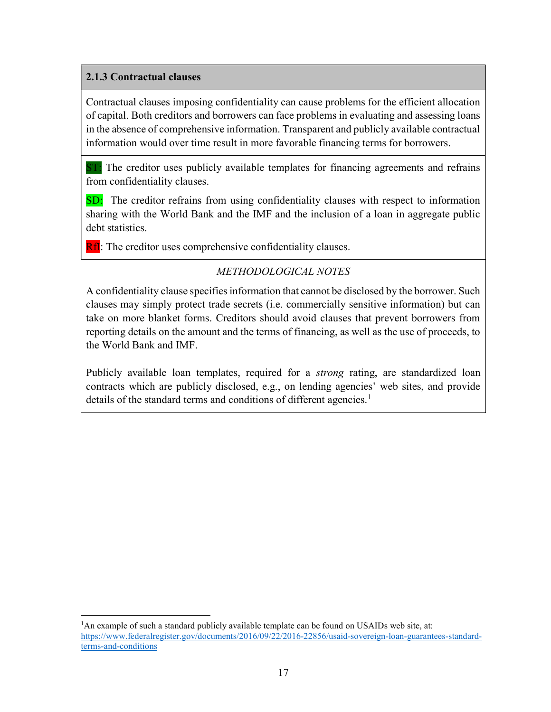### 2.1.3 Contractual clauses

 $\overline{a}$ 

Contractual clauses imposing confidentiality can cause problems for the efficient allocation of capital. Both creditors and borrowers can face problems in evaluating and assessing loans in the absence of comprehensive information. Transparent and publicly available contractual information would over time result in more favorable financing terms for borrowers.

**ST:** The creditor uses publicly available templates for financing agreements and refrains from confidentiality clauses.

SD: The creditor refrains from using confidentiality clauses with respect to information sharing with the World Bank and the IMF and the inclusion of a loan in aggregate public debt statistics.

**RfI:** The creditor uses comprehensive confidentiality clauses.

# METHODOLOGICAL NOTES

A confidentiality clause specifies information that cannot be disclosed by the borrower. Such clauses may simply protect trade secrets (i.e. commercially sensitive information) but can take on more blanket forms. Creditors should avoid clauses that prevent borrowers from reporting details on the amount and the terms of financing, as well as the use of proceeds, to the World Bank and IMF.

Publicly available loan templates, required for a *strong* rating, are standardized loan contracts which are publicly disclosed, e.g., on lending agencies' web sites, and provide details of the standard terms and conditions of different agencies.<sup>1</sup>

<sup>&</sup>lt;sup>1</sup>An example of such a standard publicly available template can be found on USAIDs web site, at: https://www.federalregister.gov/documents/2016/09/22/2016-22856/usaid-sovereign-loan-guarantees-standardterms-and-conditions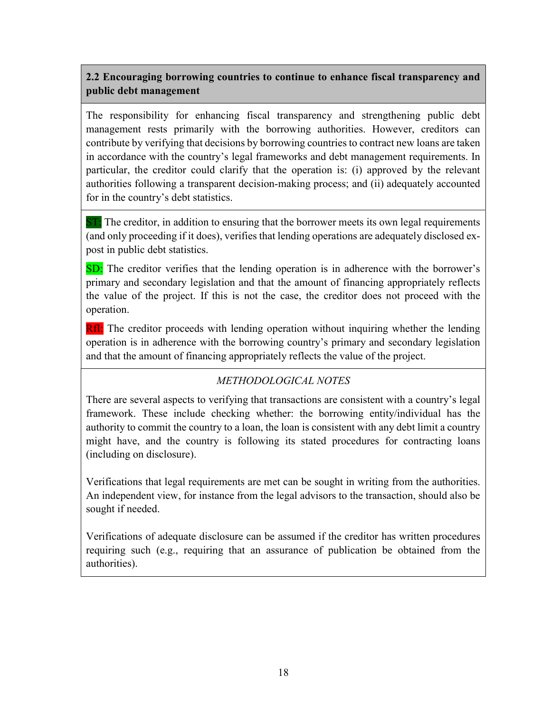# 2.2 Encouraging borrowing countries to continue to enhance fiscal transparency and public debt management

The responsibility for enhancing fiscal transparency and strengthening public debt management rests primarily with the borrowing authorities. However, creditors can contribute by verifying that decisions by borrowing countries to contract new loans are taken in accordance with the country's legal frameworks and debt management requirements. In particular, the creditor could clarify that the operation is: (i) approved by the relevant authorities following a transparent decision-making process; and (ii) adequately accounted for in the country's debt statistics.

ST: The creditor, in addition to ensuring that the borrower meets its own legal requirements (and only proceeding if it does), verifies that lending operations are adequately disclosed expost in public debt statistics.

SD: The creditor verifies that the lending operation is in adherence with the borrower's primary and secondary legislation and that the amount of financing appropriately reflects the value of the project. If this is not the case, the creditor does not proceed with the operation.

RfI: The creditor proceeds with lending operation without inquiring whether the lending operation is in adherence with the borrowing country's primary and secondary legislation and that the amount of financing appropriately reflects the value of the project.

# METHODOLOGICAL NOTES

There are several aspects to verifying that transactions are consistent with a country's legal framework. These include checking whether: the borrowing entity/individual has the authority to commit the country to a loan, the loan is consistent with any debt limit a country might have, and the country is following its stated procedures for contracting loans (including on disclosure).

Verifications that legal requirements are met can be sought in writing from the authorities. An independent view, for instance from the legal advisors to the transaction, should also be sought if needed.

Verifications of adequate disclosure can be assumed if the creditor has written procedures requiring such (e.g., requiring that an assurance of publication be obtained from the authorities).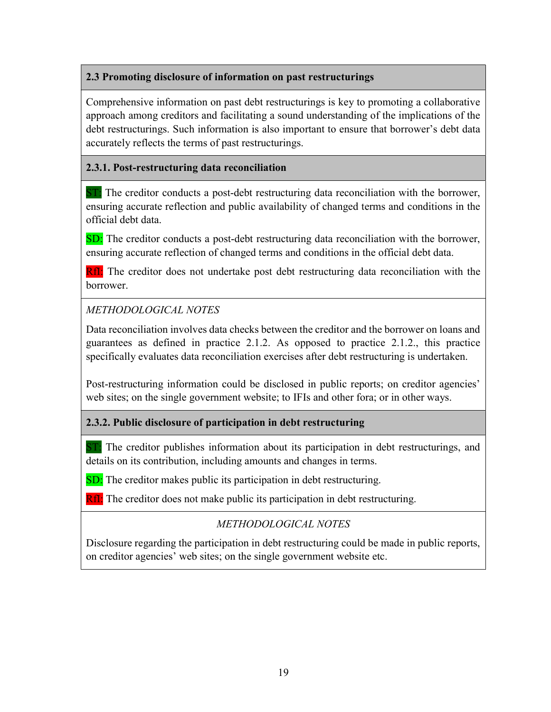#### 2.3 Promoting disclosure of information on past restructurings

Comprehensive information on past debt restructurings is key to promoting a collaborative approach among creditors and facilitating a sound understanding of the implications of the debt restructurings. Such information is also important to ensure that borrower's debt data accurately reflects the terms of past restructurings.

#### 2.3.1. Post-restructuring data reconciliation

ST: The creditor conducts a post-debt restructuring data reconciliation with the borrower, ensuring accurate reflection and public availability of changed terms and conditions in the official debt data.

SD: The creditor conducts a post-debt restructuring data reconciliation with the borrower, ensuring accurate reflection of changed terms and conditions in the official debt data.

**RfI:** The creditor does not undertake post debt restructuring data reconciliation with the borrower.

# METHODOLOGICAL NOTES

Data reconciliation involves data checks between the creditor and the borrower on loans and guarantees as defined in practice 2.1.2. As opposed to practice 2.1.2., this practice specifically evaluates data reconciliation exercises after debt restructuring is undertaken.

Post-restructuring information could be disclosed in public reports; on creditor agencies' web sites; on the single government website; to IFIs and other fora; or in other ways.

#### 2.3.2. Public disclosure of participation in debt restructuring

**ST**: The creditor publishes information about its participation in debt restructurings, and details on its contribution, including amounts and changes in terms.

**SD:** The creditor makes public its participation in debt restructuring.

**RfI:** The creditor does not make public its participation in debt restructuring.

# METHODOLOGICAL NOTES

Disclosure regarding the participation in debt restructuring could be made in public reports, on creditor agencies' web sites; on the single government website etc.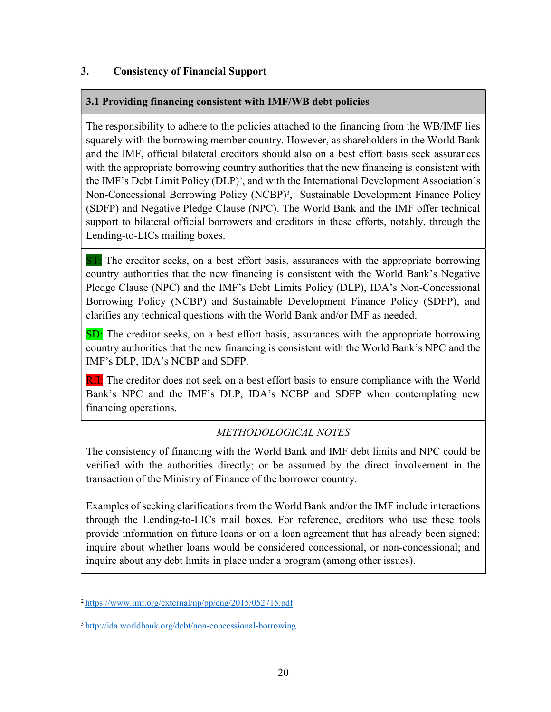#### 3. Consistency of Financial Support

# 3.1 Providing financing consistent with IMF/WB debt policies

The responsibility to adhere to the policies attached to the financing from the WB/IMF lies squarely with the borrowing member country. However, as shareholders in the World Bank and the IMF, official bilateral creditors should also on a best effort basis seek assurances with the appropriate borrowing country authorities that the new financing is consistent with the IMF's Debt Limit Policy (DLP)<sup>2</sup>, and with the International Development Association's Non-Concessional Borrowing Policy (NCBP)<sup>3</sup>, Sustainable Development Finance Policy (SDFP) and Negative Pledge Clause (NPC). The World Bank and the IMF offer technical support to bilateral official borrowers and creditors in these efforts, notably, through the Lending-to-LICs mailing boxes.

ST: The creditor seeks, on a best effort basis, assurances with the appropriate borrowing country authorities that the new financing is consistent with the World Bank's Negative Pledge Clause (NPC) and the IMF's Debt Limits Policy (DLP), IDA's Non-Concessional Borrowing Policy (NCBP) and Sustainable Development Finance Policy (SDFP), and clarifies any technical questions with the World Bank and/or IMF as needed.

SD: The creditor seeks, on a best effort basis, assurances with the appropriate borrowing country authorities that the new financing is consistent with the World Bank's NPC and the IMF's DLP, IDA's NCBP and SDFP.

RfI: The creditor does not seek on a best effort basis to ensure compliance with the World Bank's NPC and the IMF's DLP, IDA's NCBP and SDFP when contemplating new financing operations.

# METHODOLOGICAL NOTES

The consistency of financing with the World Bank and IMF debt limits and NPC could be verified with the authorities directly; or be assumed by the direct involvement in the transaction of the Ministry of Finance of the borrower country.

Examples of seeking clarifications from the World Bank and/or the IMF include interactions through the Lending-to-LICs mail boxes. For reference, creditors who use these tools provide information on future loans or on a loan agreement that has already been signed; inquire about whether loans would be considered concessional, or non-concessional; and inquire about any debt limits in place under a program (among other issues).

<sup>2</sup>https://www.imf.org/external/np/pp/eng/2015/052715.pdf

<sup>3</sup>http://ida.worldbank.org/debt/non-concessional-borrowing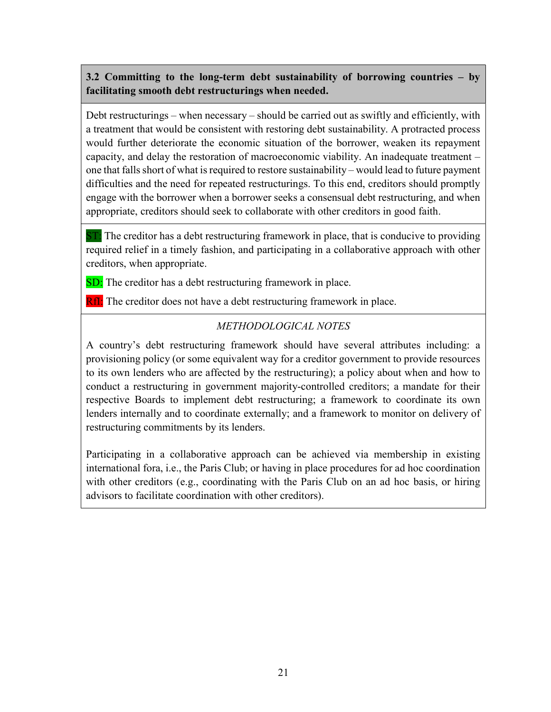# 3.2 Committing to the long-term debt sustainability of borrowing countries – by facilitating smooth debt restructurings when needed.

Debt restructurings – when necessary – should be carried out as swiftly and efficiently, with a treatment that would be consistent with restoring debt sustainability. A protracted process would further deteriorate the economic situation of the borrower, weaken its repayment capacity, and delay the restoration of macroeconomic viability. An inadequate treatment – one that falls short of what is required to restore sustainability – would lead to future payment difficulties and the need for repeated restructurings. To this end, creditors should promptly engage with the borrower when a borrower seeks a consensual debt restructuring, and when appropriate, creditors should seek to collaborate with other creditors in good faith.

ST: The creditor has a debt restructuring framework in place, that is conducive to providing required relief in a timely fashion, and participating in a collaborative approach with other creditors, when appropriate.

SD: The creditor has a debt restructuring framework in place.

**RfI:** The creditor does not have a debt restructuring framework in place.

# METHODOLOGICAL NOTES

A country's debt restructuring framework should have several attributes including: a provisioning policy (or some equivalent way for a creditor government to provide resources to its own lenders who are affected by the restructuring); a policy about when and how to conduct a restructuring in government majority-controlled creditors; a mandate for their respective Boards to implement debt restructuring; a framework to coordinate its own lenders internally and to coordinate externally; and a framework to monitor on delivery of restructuring commitments by its lenders.

Participating in a collaborative approach can be achieved via membership in existing international fora, i.e., the Paris Club; or having in place procedures for ad hoc coordination with other creditors (e.g., coordinating with the Paris Club on an ad hoc basis, or hiring advisors to facilitate coordination with other creditors).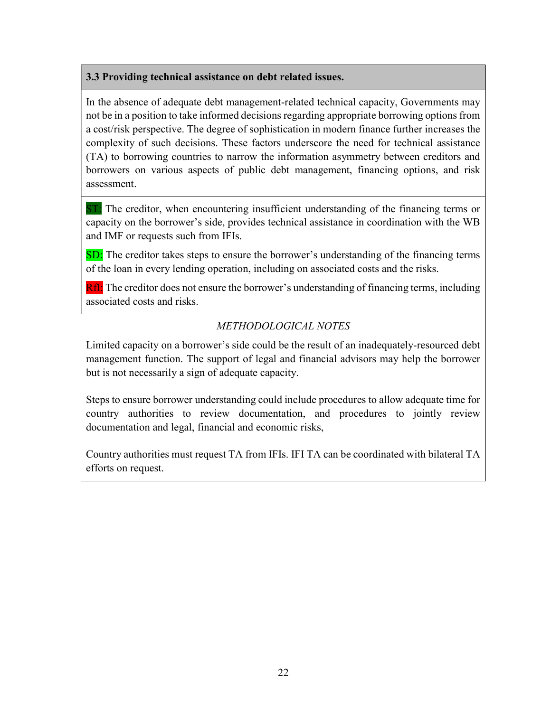#### 3.3 Providing technical assistance on debt related issues.

In the absence of adequate debt management-related technical capacity, Governments may not be in a position to take informed decisions regarding appropriate borrowing options from a cost/risk perspective. The degree of sophistication in modern finance further increases the complexity of such decisions. These factors underscore the need for technical assistance (TA) to borrowing countries to narrow the information asymmetry between creditors and borrowers on various aspects of public debt management, financing options, and risk assessment.

ST: The creditor, when encountering insufficient understanding of the financing terms or capacity on the borrower's side, provides technical assistance in coordination with the WB and IMF or requests such from IFIs.

SD: The creditor takes steps to ensure the borrower's understanding of the financing terms of the loan in every lending operation, including on associated costs and the risks.

RfI: The creditor does not ensure the borrower's understanding of financing terms, including associated costs and risks.

# METHODOLOGICAL NOTES

Limited capacity on a borrower's side could be the result of an inadequately-resourced debt management function. The support of legal and financial advisors may help the borrower but is not necessarily a sign of adequate capacity.

Steps to ensure borrower understanding could include procedures to allow adequate time for country authorities to review documentation, and procedures to jointly review documentation and legal, financial and economic risks,

Country authorities must request TA from IFIs. IFI TA can be coordinated with bilateral TA efforts on request.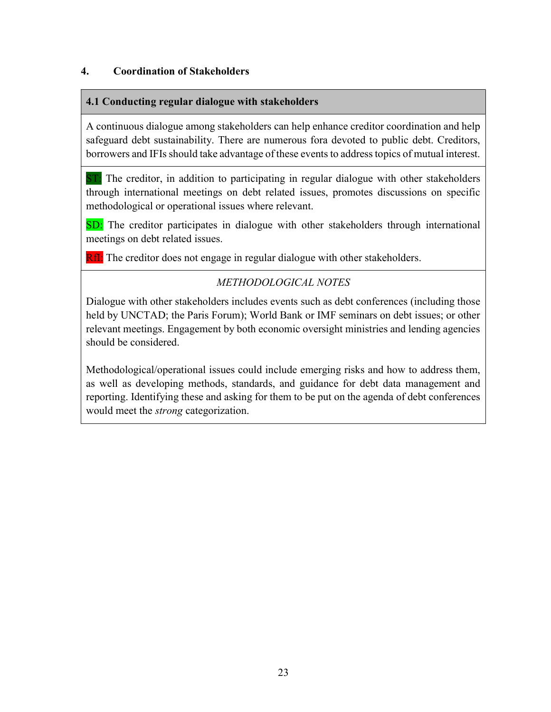#### 4. Coordination of Stakeholders

#### 4.1 Conducting regular dialogue with stakeholders

A continuous dialogue among stakeholders can help enhance creditor coordination and help safeguard debt sustainability. There are numerous fora devoted to public debt. Creditors, borrowers and IFIs should take advantage of these events to address topics of mutual interest.

**ST:** The creditor, in addition to participating in regular dialogue with other stakeholders through international meetings on debt related issues, promotes discussions on specific methodological or operational issues where relevant.

SD: The creditor participates in dialogue with other stakeholders through international meetings on debt related issues.

**RfI:** The creditor does not engage in regular dialogue with other stakeholders.

# METHODOLOGICAL NOTES

Dialogue with other stakeholders includes events such as debt conferences (including those held by UNCTAD; the Paris Forum); World Bank or IMF seminars on debt issues; or other relevant meetings. Engagement by both economic oversight ministries and lending agencies should be considered.

Methodological/operational issues could include emerging risks and how to address them, as well as developing methods, standards, and guidance for debt data management and reporting. Identifying these and asking for them to be put on the agenda of debt conferences would meet the *strong* categorization.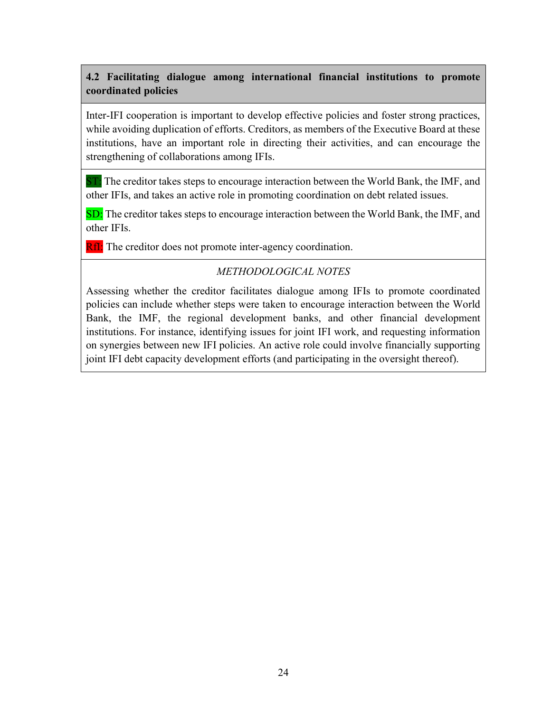# 4.2 Facilitating dialogue among international financial institutions to promote coordinated policies

Inter-IFI cooperation is important to develop effective policies and foster strong practices, while avoiding duplication of efforts. Creditors, as members of the Executive Board at these institutions, have an important role in directing their activities, and can encourage the strengthening of collaborations among IFIs.

 $ST:$  The creditor takes steps to encourage interaction between the World Bank, the IMF, and other IFIs, and takes an active role in promoting coordination on debt related issues.

SD: The creditor takes steps to encourage interaction between the World Bank, the IMF, and other IFIs.

RfI: The creditor does not promote inter-agency coordination.

# METHODOLOGICAL NOTES

Assessing whether the creditor facilitates dialogue among IFIs to promote coordinated policies can include whether steps were taken to encourage interaction between the World Bank, the IMF, the regional development banks, and other financial development institutions. For instance, identifying issues for joint IFI work, and requesting information on synergies between new IFI policies. An active role could involve financially supporting joint IFI debt capacity development efforts (and participating in the oversight thereof).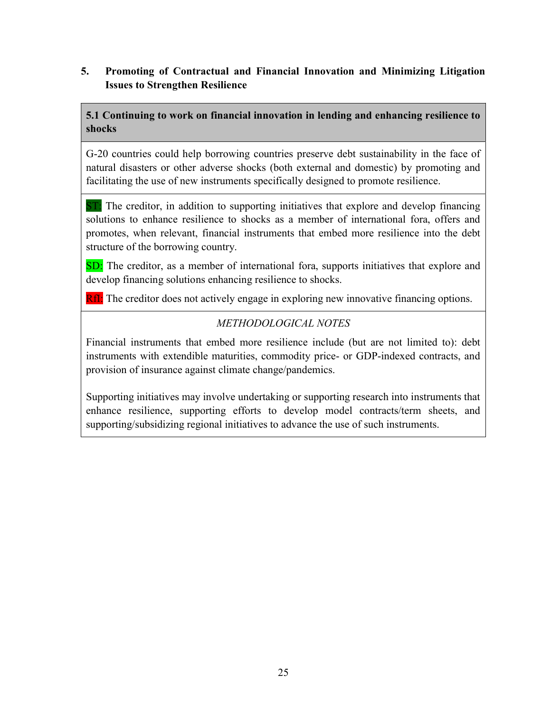### 5. Promoting of Contractual and Financial Innovation and Minimizing Litigation Issues to Strengthen Resilience

# 5.1 Continuing to work on financial innovation in lending and enhancing resilience to shocks

G-20 countries could help borrowing countries preserve debt sustainability in the face of natural disasters or other adverse shocks (both external and domestic) by promoting and facilitating the use of new instruments specifically designed to promote resilience.

ST: The creditor, in addition to supporting initiatives that explore and develop financing solutions to enhance resilience to shocks as a member of international fora, offers and promotes, when relevant, financial instruments that embed more resilience into the debt structure of the borrowing country.

SD: The creditor, as a member of international fora, supports initiatives that explore and develop financing solutions enhancing resilience to shocks.

RfI: The creditor does not actively engage in exploring new innovative financing options.

# METHODOLOGICAL NOTES

Financial instruments that embed more resilience include (but are not limited to): debt instruments with extendible maturities, commodity price- or GDP-indexed contracts, and provision of insurance against climate change/pandemics.

Supporting initiatives may involve undertaking or supporting research into instruments that enhance resilience, supporting efforts to develop model contracts/term sheets, and supporting/subsidizing regional initiatives to advance the use of such instruments.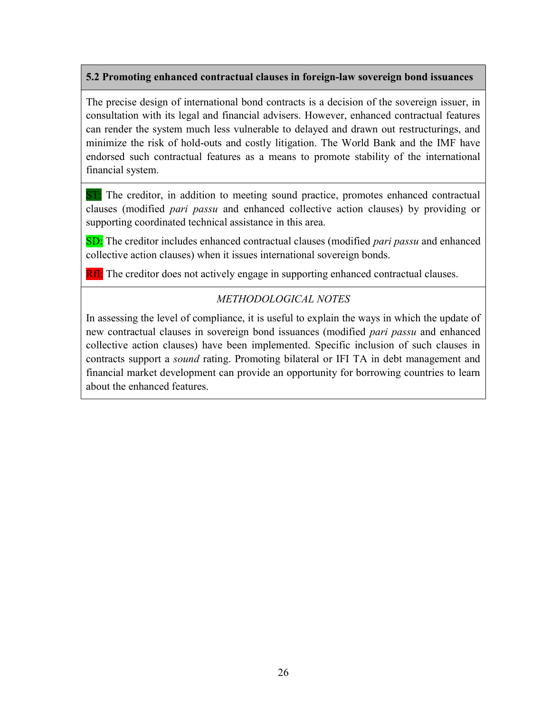#### 5.2 Promoting enhanced contractual clauses in foreign-law sovereign bond issuances

The precise design of international bond contracts is a decision of the sovereign issuer, in consultation with its legal and financial advisers. However, enhanced contractual features can render the system much less vulnerable to delayed and drawn out restructurings, and minimize the risk of hold-outs and costly litigation. The World Bank and the IMF have endorsed such contractual features as a means to promote stability of the international financial system.

ST: The creditor, in addition to meeting sound practice, promotes enhanced contractual clauses (modified pari passu and enhanced collective action clauses) by providing or supporting coordinated technical assistance in this area.

SD: The creditor includes enhanced contractual clauses (modified *pari passu* and enhanced collective action clauses) when it issues international sovereign bonds.

RfI: The creditor does not actively engage in supporting enhanced contractual clauses.

#### METHODOLOGICAL NOTES

In assessing the level of compliance, it is useful to explain the ways in which the update of new contractual clauses in sovereign bond issuances (modified *pari passu* and enhanced collective action clauses) have been implemented. Specific inclusion of such clauses in contracts support a sound rating. Promoting bilateral or IFI TA in debt management and financial market development can provide an opportunity for borrowing countries to learn about the enhanced features.